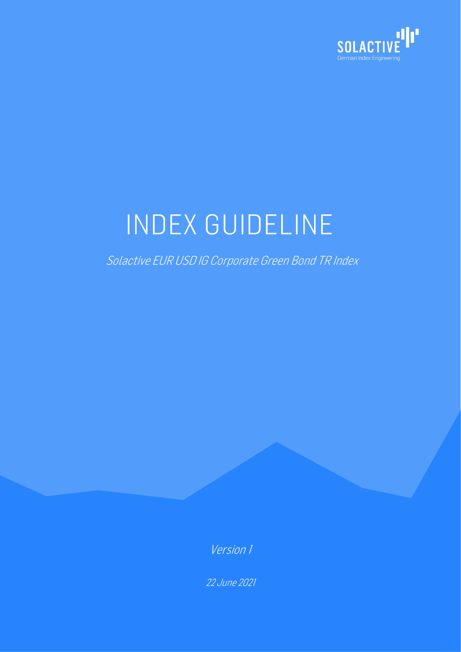

# INDEX GUIDELINE

Solactive EUR USD IG Corporate Green Bond TR Index

Version 1

22 June 2021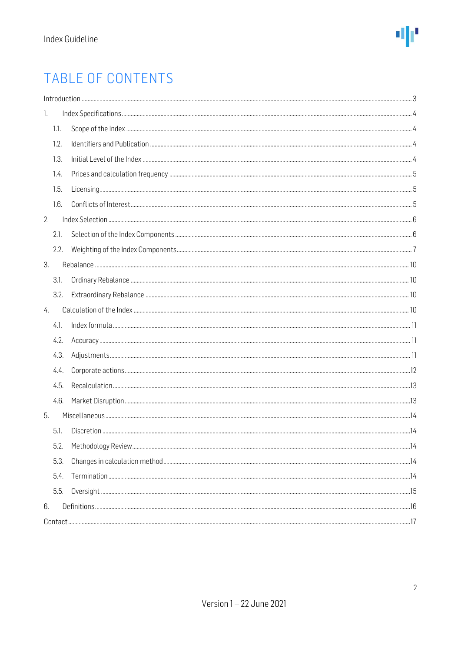### TABLE OF CONTENTS

|                  | $\int_0^{\pi} \frac{1}{2} \int_0^{\pi} \frac{1}{2} \int_0^{\pi} \frac{1}{2} \int_0^{\pi} \frac{1}{2} \int_0^{\pi} \frac{1}{2} \int_0^{\pi} \frac{1}{2} \int_0^{\pi} \frac{1}{2} \int_0^{\pi} \frac{1}{2} \int_0^{\pi} \frac{1}{2} \int_0^{\pi} \frac{1}{2} \int_0^{\pi} \frac{1}{2} \int_0^{\pi} \frac{1}{2} \int_0^{\pi} \frac{1}{2} \int_0^{\pi} \frac{1}{2} \int_0^{\pi} \frac$ |  |  |  |  |  |
|------------------|------------------------------------------------------------------------------------------------------------------------------------------------------------------------------------------------------------------------------------------------------------------------------------------------------------------------------------------------------------------------------------|--|--|--|--|--|
| 1.               |                                                                                                                                                                                                                                                                                                                                                                                    |  |  |  |  |  |
|                  | 1.1.                                                                                                                                                                                                                                                                                                                                                                               |  |  |  |  |  |
|                  | 1.2.                                                                                                                                                                                                                                                                                                                                                                               |  |  |  |  |  |
|                  | 1.3.                                                                                                                                                                                                                                                                                                                                                                               |  |  |  |  |  |
|                  | 1.4.                                                                                                                                                                                                                                                                                                                                                                               |  |  |  |  |  |
|                  | 1.5.                                                                                                                                                                                                                                                                                                                                                                               |  |  |  |  |  |
|                  | 1.6.                                                                                                                                                                                                                                                                                                                                                                               |  |  |  |  |  |
| 2.               |                                                                                                                                                                                                                                                                                                                                                                                    |  |  |  |  |  |
|                  | 2.1.                                                                                                                                                                                                                                                                                                                                                                               |  |  |  |  |  |
|                  | 2.2.                                                                                                                                                                                                                                                                                                                                                                               |  |  |  |  |  |
| 3.               |                                                                                                                                                                                                                                                                                                                                                                                    |  |  |  |  |  |
|                  | 3.1.                                                                                                                                                                                                                                                                                                                                                                               |  |  |  |  |  |
|                  | 3.2.                                                                                                                                                                                                                                                                                                                                                                               |  |  |  |  |  |
| $\overline{4}$ . |                                                                                                                                                                                                                                                                                                                                                                                    |  |  |  |  |  |
|                  | 4.1.                                                                                                                                                                                                                                                                                                                                                                               |  |  |  |  |  |
|                  | 4.2.                                                                                                                                                                                                                                                                                                                                                                               |  |  |  |  |  |
|                  | 4.3.                                                                                                                                                                                                                                                                                                                                                                               |  |  |  |  |  |
|                  | 4.4.                                                                                                                                                                                                                                                                                                                                                                               |  |  |  |  |  |
|                  | 4.5.                                                                                                                                                                                                                                                                                                                                                                               |  |  |  |  |  |
|                  | 4.6.                                                                                                                                                                                                                                                                                                                                                                               |  |  |  |  |  |
| 5.               |                                                                                                                                                                                                                                                                                                                                                                                    |  |  |  |  |  |
|                  | 5.1.                                                                                                                                                                                                                                                                                                                                                                               |  |  |  |  |  |
|                  | 5.2.                                                                                                                                                                                                                                                                                                                                                                               |  |  |  |  |  |
|                  | 5.3.                                                                                                                                                                                                                                                                                                                                                                               |  |  |  |  |  |
|                  | 5.4.                                                                                                                                                                                                                                                                                                                                                                               |  |  |  |  |  |
|                  | 5.5.                                                                                                                                                                                                                                                                                                                                                                               |  |  |  |  |  |
| 6.               |                                                                                                                                                                                                                                                                                                                                                                                    |  |  |  |  |  |
|                  |                                                                                                                                                                                                                                                                                                                                                                                    |  |  |  |  |  |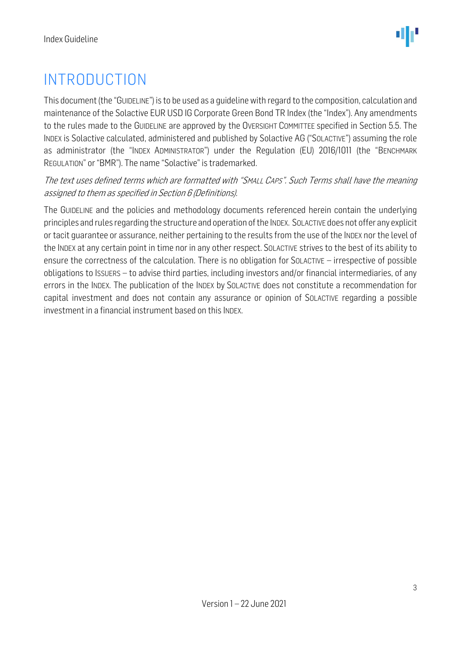### <span id="page-2-0"></span>INTRODUCTION

This document (the "GUIDELINE") is to be used as a guideline with regard to the composition, calculation and maintenance of the Solactive EUR USD IG Corporate Green Bond TR Index (the "Index"). Any amendments to the rules made to the GUIDELINE are approved by the OVERSIGHT COMMITTEE specified in Section 5.5. The INDEX is Solactive calculated, administered and published by Solactive AG ("SOLACTIVE") assuming the role as administrator (the "INDEX ADMINISTRATOR") under the Regulation (EU) 2016/1011 (the "BENCHMARK REGULATION" or "BMR"). The name "Solactive" is trademarked.

#### The text uses defined terms which are formatted with "SMALL CAPS". Such Terms shall have the meaning assigned to them as specified in Section 6 (Definitions).

The GUIDELINE and the policies and methodology documents referenced herein contain the underlying principles and rules regarding the structure and operation of the INDEX. SOLACTIVE does not offer any explicit or tacit guarantee or assurance, neither pertaining to the results from the use of the INDEX nor the level of the INDEX at any certain point in time nor in any other respect. SOLACTIVE strives to the best of its ability to ensure the correctness of the calculation. There is no obligation for SOLACTIVE – irrespective of possible obligations to ISSUERS – to advise third parties, including investors and/or financial intermediaries, of any errors in the INDEX. The publication of the INDEX by SOLACTIVE does not constitute a recommendation for capital investment and does not contain any assurance or opinion of SOLACTIVE regarding a possible investment in a financial instrument based on this INDEX.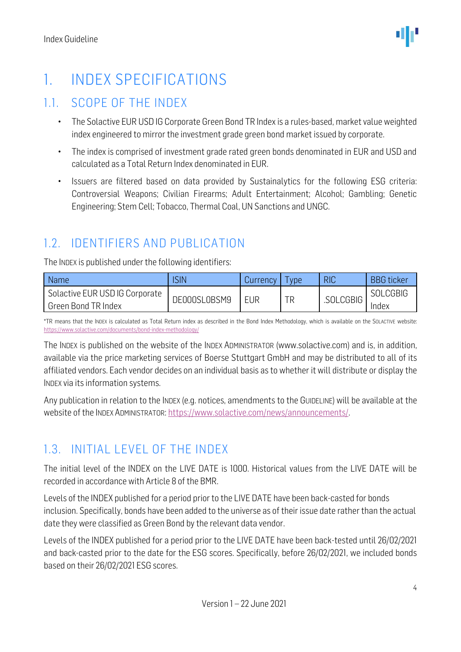### <span id="page-3-0"></span>1. INDEX SPECIFICATIONS

### <span id="page-3-1"></span>1.1. SCOPE OF THE INDEX

- The Solactive EUR USD IG Corporate Green Bond TR Index is a rules-based, market value weighted index engineered to mirror the investment grade green bond market issued by corporate.
- The index is comprised of investment grade rated green bonds denominated in EUR and USD and calculated as a Total Return Index denominated in EUR.
- Issuers are filtered based on data provided by Sustainalytics for the following ESG criteria: Controversial Weapons; Civilian Firearms; Adult Entertainment; Alcohol; Gambling; Genetic Engineering; Stem Cell; Tobacco, Thermal Coal, UN Sanctions and UNGC.

### <span id="page-3-2"></span>1.2. IDENTIFIERS AND PUBLICATION

The INDEX is published under the following identifiers:

| Name                           | <b>ISIN</b>  | Jurrencv   | <b>vpe</b> | <b>RIC</b> | <b>BBG</b> ticker |
|--------------------------------|--------------|------------|------------|------------|-------------------|
| Solactive EUR USD IG Corporate | DE000SL0BSM9 | <b>EUR</b> |            | .SOLCGBIG  | <b>SOLCGBIG</b>   |
| Green Bond TR Index            |              |            |            |            | Index             |

\*TR means that the INDEX is calculated as Total Return index as described in the Bond Index Methodology, which is available on the SOLACTIVE website: <https://www.solactive.com/documents/bond-index-methodology/>

The INDEX is published on the website of the INDEX ADMINISTRATOR (www.solactive.com) and is, in addition, available via the price marketing services of Boerse Stuttgart GmbH and may be distributed to all of its affiliated vendors. Each vendor decides on an individual basis as to whether it will distribute or display the INDEX via its information systems.

Any publication in relation to the INDEX (e.g. notices, amendments to the GUIDELINE) will be available at the website of the INDEX ADMINISTRATOR: [https://www.solactive.com/news/announcements/.](https://www.solactive.com/news/announcements/)

### <span id="page-3-3"></span>1.3. INITIAL LEVEL OF THE INDEX

The initial level of the INDEX on the LIVE DATE is 1000. Historical values from the LIVE DATE will be recorded in accordance with Article 8 of the BMR.

Levels of the INDEX published for a period prior to the LIVE DATE have been back-casted for bonds inclusion. Specifically, bonds have been added to the universe as of their issue date rather than the actual date they were classified as Green Bond by the relevant data vendor.

Levels of the INDEX published for a period prior to the LIVE DATE have been back-tested until 26/02/2021 and back-casted prior to the date for the ESG scores. Specifically, before 26/02/2021, we included bonds based on their 26/02/2021 ESG scores.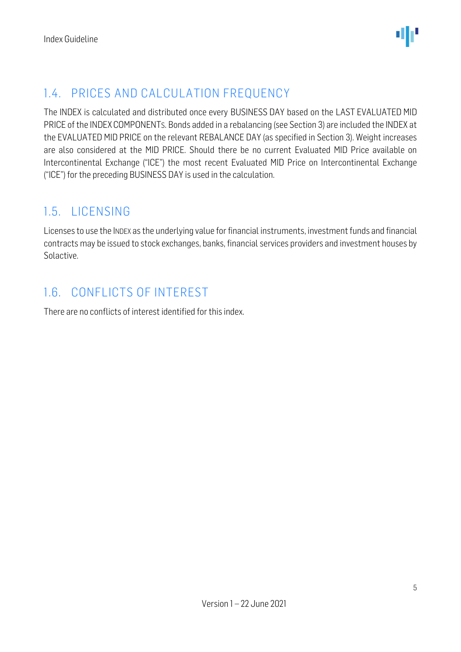#### <span id="page-4-0"></span>1.4. PRICES AND CALCULATION FREQUENCY

The INDEX is calculated and distributed once every BUSINESS DAY based on the LAST EVALUATED MID PRICE of the INDEX COMPONENTS. Bonds added in a rebalancing (see Section 3) are included the INDEX at the EVALUATED MID PRICE on the relevant REBALANCE DAY (as specified in Section 3). Weight increases are also considered at the MID PRICE. Should there be no current Evaluated MID Price available on Intercontinental Exchange ("ICE") the most recent Evaluated MID Price on Intercontinental Exchange ("ICE") for the preceding BUSINESS DAY is used in the calculation.

### <span id="page-4-1"></span>1.5. LICENSING

Licenses to use the INDEX as the underlying value for financial instruments, investment funds and financial contracts may be issued to stock exchanges, banks, financial services providers and investment houses by Solactive.

### <span id="page-4-2"></span>1.6. CONFLICTS OF INTEREST

There are no conflicts of interest identified for this index.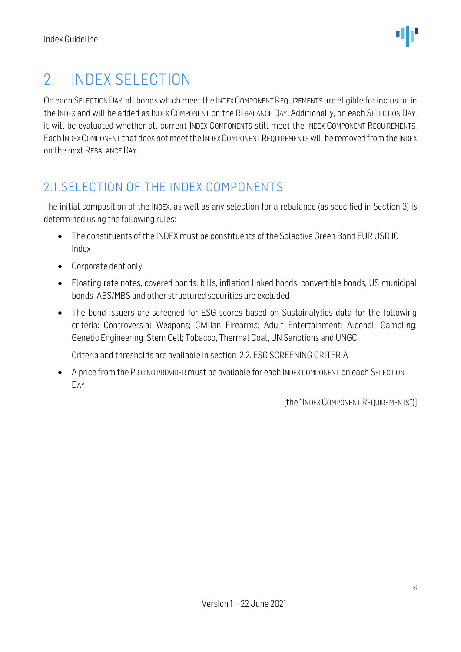### <span id="page-5-0"></span>2. INDEX SELECTION

On each SELECTION DAY, all bonds which meet the INDEX COMPONENT REQUIREMENTS are eligible for inclusion in the INDEX and will be added as INDEX COMPONENT on the REBALANCE DAY. Additionally, on each SELECTION DAY, it will be evaluated whether all current INDEX COMPONENTS still meet the INDEX COMPONENT REQUIREMENTS. Each INDEX COMPONENT that does not meet the INDEX COMPONENT REQUIREMENTSwill be removed from the INDEX on the next REBALANCE DAY.

### <span id="page-5-1"></span>2.1.SELECTION OF THE INDEX COMPONENTS

The initial composition of the INDEX, as well as any selection for a rebalance (as specified in Section 3) is determined using the following rules:

- The constituents of the INDEX must be constituents of the Solactive Green Bond EUR USD IG Index
- Corporate debt only
- Floating rate notes, covered bonds, bills, inflation linked bonds, convertible bonds, US municipal bonds, ABS/MBS and other structured securities are excluded
- The bond issuers are screened for ESG scores based on Sustainalytics data for the following criteria: Controversial Weapons; Civilian Firearms; Adult Entertainment; Alcohol; Gambling; Genetic Engineering; Stem Cell; Tobacco, Thermal Coal, UN Sanctions and UNGC.

Criteria and thresholds are available in section 2.2. ESG SCREENING CRITERIA

• A price from the PRICING PROVIDER must be available for each INDEX COMPONENT on each SELECTION DAY

(the "INDEX COMPONENT REQUIREMENTS")]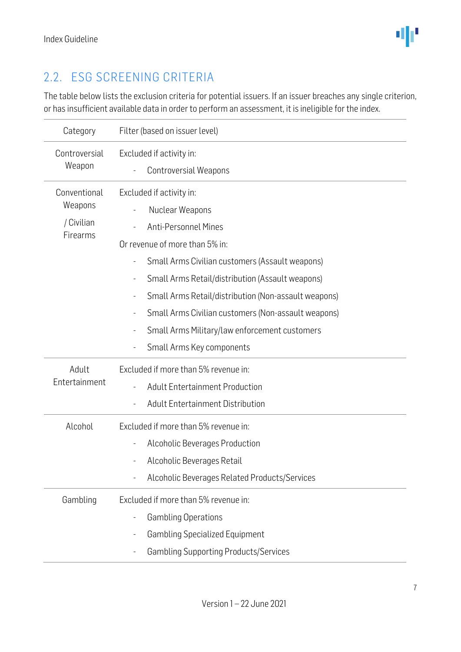### 2.2. ESG SCREENING CRITERIA

The table below lists the exclusion criteria for potential issuers. If an issuer breaches any single criterion, or has insufficient available data in order to perform an assessment, it is ineligible for the index.

<span id="page-6-0"></span>

| Category               | Filter (based on issuer level)                         |  |  |
|------------------------|--------------------------------------------------------|--|--|
| Controversial          | Excluded if activity in:                               |  |  |
| Weapon                 | <b>Controversial Weapons</b>                           |  |  |
| Conventional           | Excluded if activity in:                               |  |  |
| Weapons                | Nuclear Weapons                                        |  |  |
| / Civilian<br>Firearms | <b>Anti-Personnel Mines</b>                            |  |  |
|                        | Or revenue of more than 5% in:                         |  |  |
|                        | Small Arms Civilian customers (Assault weapons)        |  |  |
|                        | Small Arms Retail/distribution (Assault weapons)       |  |  |
|                        | Small Arms Retail/distribution (Non-assault weapons)   |  |  |
|                        | Small Arms Civilian customers (Non-assault weapons)    |  |  |
|                        | Small Arms Military/law enforcement customers          |  |  |
|                        | Small Arms Key components                              |  |  |
| Adult                  | Excluded if more than 5% revenue in:                   |  |  |
| Entertainment          | <b>Adult Entertainment Production</b>                  |  |  |
|                        | <b>Adult Entertainment Distribution</b>                |  |  |
| Alcohol                | Excluded if more than 5% revenue in:                   |  |  |
|                        | <b>Alcoholic Beverages Production</b>                  |  |  |
|                        | Alcoholic Beverages Retail                             |  |  |
|                        | Alcoholic Beverages Related Products/Services          |  |  |
| Gambling               | Excluded if more than 5% revenue in:                   |  |  |
|                        | <b>Gambling Operations</b><br>$\overline{\phantom{a}}$ |  |  |
|                        | <b>Gambling Specialized Equipment</b>                  |  |  |
|                        | <b>Gambling Supporting Products/Services</b>           |  |  |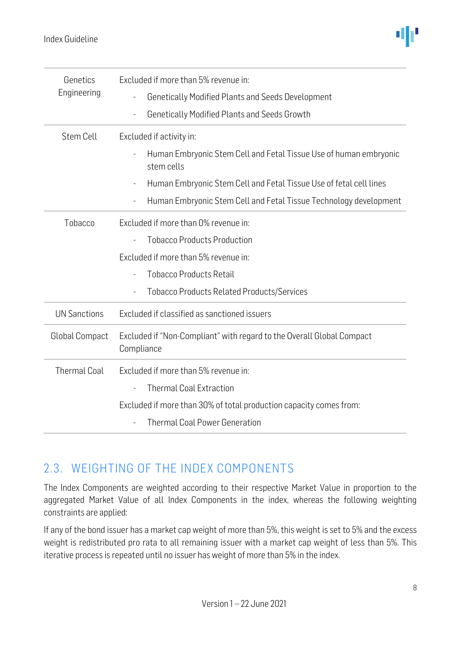| Genetics<br>Engineering | Excluded if more than 5% revenue in:<br><b>Genetically Modified Plants and Seeds Development</b><br><b>Genetically Modified Plants and Seeds Growth</b><br>$\overline{\phantom{a}}$ |  |  |
|-------------------------|-------------------------------------------------------------------------------------------------------------------------------------------------------------------------------------|--|--|
| Stem Cell               | Excluded if activity in:                                                                                                                                                            |  |  |
|                         | Human Embryonic Stem Cell and Fetal Tissue Use of human embryonic<br>stem cells                                                                                                     |  |  |
|                         | Human Embryonic Stem Cell and Fetal Tissue Use of fetal cell lines                                                                                                                  |  |  |
|                         | Human Embryonic Stem Cell and Fetal Tissue Technology development<br>$\qquad \qquad \blacksquare$                                                                                   |  |  |
| Tobacco                 | Excluded if more than 0% revenue in:                                                                                                                                                |  |  |
|                         | <b>Tobacco Products Production</b>                                                                                                                                                  |  |  |
|                         | Excluded if more than 5% revenue in:                                                                                                                                                |  |  |
|                         | <b>Tobacco Products Retail</b>                                                                                                                                                      |  |  |
|                         | <b>Tobacco Products Related Products/Services</b>                                                                                                                                   |  |  |
| <b>UN Sanctions</b>     | Excluded if classified as sanctioned issuers                                                                                                                                        |  |  |
| <b>Global Compact</b>   | Excluded if "Non-Compliant" with regard to the Overall Global Compact<br>Compliance                                                                                                 |  |  |
| <b>Thermal Coal</b>     | Excluded if more than 5% revenue in:                                                                                                                                                |  |  |
|                         | <b>Thermal Coal Extraction</b>                                                                                                                                                      |  |  |
|                         | Excluded if more than 30% of total production capacity comes from:                                                                                                                  |  |  |
|                         | <b>Thermal Coal Power Generation</b>                                                                                                                                                |  |  |

### 2.3. WEIGHTING OF THE INDEX COMPONENTS

The Index Components are weighted according to their respective Market Value in proportion to the aggregated Market Value of all Index Components in the index, whereas the following weighting constraints are applied:

If any of the bond issuer has a market cap weight of more than 5%, this weight is set to 5% and the excess weight is redistributed pro rata to all remaining issuer with a market cap weight of less than 5%. This iterative process is repeated until no issuer has weight of more than 5% in the index.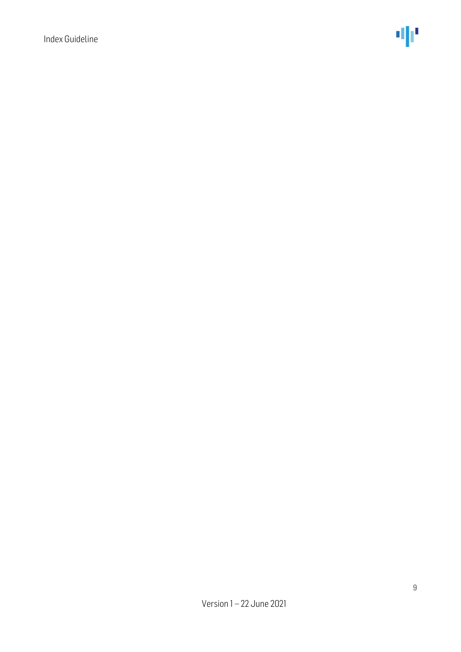Index Guideline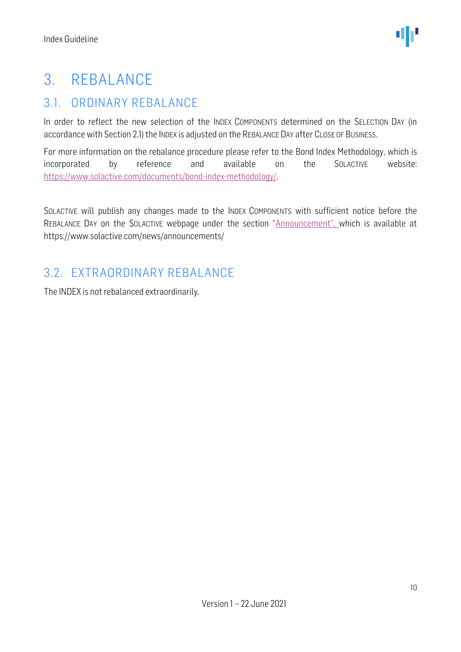### <span id="page-9-0"></span>3. REBALANCE

### <span id="page-9-1"></span>3.1. ORDINARY REBALANCE

In order to reflect the new selection of the INDEX COMPONENTS determined on the SELECTION DAY (in accordance with Section 2.1) the INDEX is adjusted on the REBALANCE DAY after CLOSE OF BUSINESS.

For more information on the rebalance procedure please refer to the Bond Index Methodology, which is incorporated by reference and available on the SOLACTIVE website: [https://www.solactive.com/documents/bond-index-methodology/.](https://www.solactive.com/documents/bond-index-methodology/)

SOLACTIVE will publish any changes made to the INDEX COMPONENTS with sufficient notice before the REBALANCE DAY on the SOLACTIVE webpage under the section "Announcement", which is available at https://www.solactive.com/news/announcements/

#### <span id="page-9-3"></span><span id="page-9-2"></span>3.2. EXTRAORDINARY REBALANCE

The INDEX is not rebalanced extraordinarily.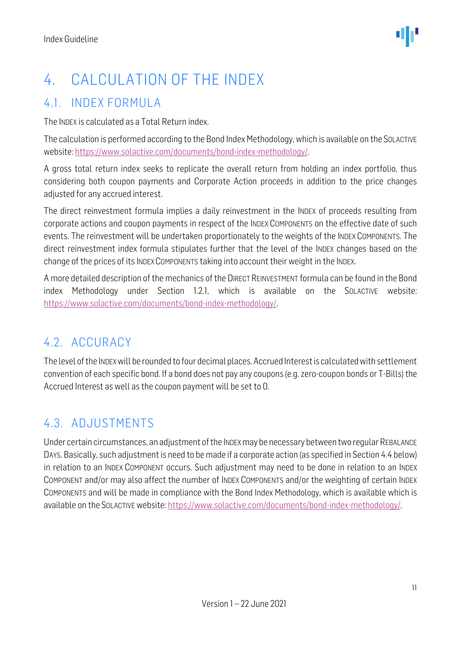### 4. CALCULATION OF THE INDEX

### <span id="page-10-0"></span>4.1. INDEX FORMULA

The INDEX is calculated as a Total Return index.

The calculation is performed according to the Bond Index Methodology, which is available on the SOLACTIVE website: [https://www.solactive.com/documents/bond-index-methodology/.](https://www.solactive.com/documents/bond-index-methodology/)

A gross total return index seeks to replicate the overall return from holding an index portfolio, thus considering both coupon payments and Corporate Action proceeds in addition to the price changes adjusted for any accrued interest.

The direct reinvestment formula implies a daily reinvestment in the INDEX of proceeds resulting from corporate actions and coupon payments in respect of the INDEX COMPONENTS on the effective date of such events. The reinvestment will be undertaken proportionately to the weights of the INDEX COMPONENTS. The direct reinvestment index formula stipulates further that the level of the INDEX changes based on the change of the prices of its INDEX COMPONENTS taking into account their weight in the INDEX.

A more detailed description of the mechanics of the DIRECT REINVESTMENT formula can be found in the Bond index Methodology under Section 1.2.1, which is available on the SOLACTIVE website: [https://www.solactive.com/documents/bond-index-methodology/.](https://www.solactive.com/documents/bond-index-methodology/)

#### <span id="page-10-1"></span>4.2. ACCURACY

<span id="page-10-2"></span>The level of the INDEXwill be rounded to four decimal places. Accrued Interest is calculated with settlement convention of each specific bond. If a bond does not pay any coupons (e.g. zero-coupon bonds or T-Bills) the Accrued Interest as well as the coupon payment will be set to 0.

#### 4.3. ADJUSTMENTS

Under certain circumstances, an adjustment of the INDEX may be necessary between two regular REBALANCE DAYS. Basically, such adjustment is need to be made if a corporate action (as specified in Section 4.4 below) in relation to an INDEX COMPONENT occurs. Such adjustment may need to be done in relation to an INDEX COMPONENT and/or may also affect the number of INDEX COMPONENTS and/or the weighting of certain INDEX COMPONENTS and will be made in compliance with the Bond Index Methodology, which is available which is available on the SOLACTIVE website: [https://www.solactive.com/documents/bond-index-methodology/.](https://www.solactive.com/documents/bond-index-methodology/)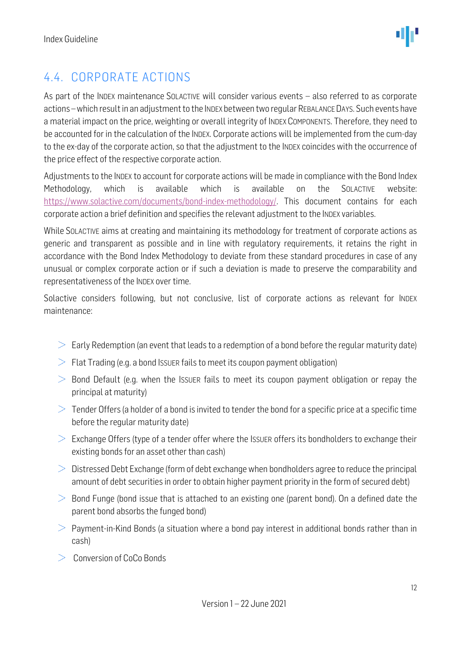### <span id="page-11-0"></span>4.4. CORPORATE ACTIONS

As part of the INDEX maintenance SOLACTIVE will consider various events – also referred to as corporate actions –which result in an adjustment to the INDEX between two regular REBALANCE DAYS. Such events have a material impact on the price, weighting or overall integrity of INDEX COMPONENTS. Therefore, they need to be accounted for in the calculation of the INDEX. Corporate actions will be implemented from the cum-day to the ex-day of the corporate action, so that the adjustment to the INDEX coincides with the occurrence of the price effect of the respective corporate action.

Adjustments to the INDEX to account for corporate actions will be made in compliance with the Bond Index Methodology, which is available which is available on the SOLACTIVE website: [https://www.solactive.com/documents/bond-index-methodology/.](https://www.solactive.com/documents/bond-index-methodology/) This document contains for each corporate action a brief definition and specifies the relevant adjustment to the INDEX variables.

While SOLACTIVE aims at creating and maintaining its methodology for treatment of corporate actions as generic and transparent as possible and in line with regulatory requirements, it retains the right in accordance with the Bond Index Methodology to deviate from these standard procedures in case of any unusual or complex corporate action or if such a deviation is made to preserve the comparability and representativeness of the INDEX over time.

Solactive considers following, but not conclusive, list of corporate actions as relevant for INDEX maintenance:

- $\geq$  Early Redemption (an event that leads to a redemption of a bond before the regular maturity date)
- $\geq$  Flat Trading (e.g. a bond Issuer fails to meet its coupon payment obligation)
- $\geq$  Bond Default (e.g. when the Issuer fails to meet its coupon payment obligation or repay the principal at maturity)
- $>$  Tender Offers (a holder of a bond is invited to tender the bond for a specific price at a specific time before the regular maturity date)
- $\geq$  Exchange Offers (type of a tender offer where the Issuer offers its bondholders to exchange their existing bonds for an asset other than cash)
- $\geq$  Distressed Debt Exchange (form of debt exchange when bondholders agree to reduce the principal amount of debt securities in order to obtain higher payment priority in the form of secured debt)
- $\geq$  Bond Funge (bond issue that is attached to an existing one (parent bond). On a defined date the parent bond absorbs the funged bond)
- $>$  Payment-in-Kind Bonds (a situation where a bond pay interest in additional bonds rather than in cash)
- $\geq$  Conversion of CoCo Bonds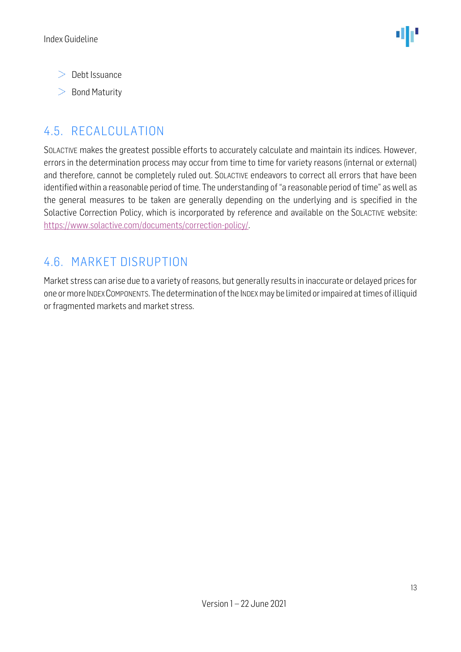- $\geq$  Debt Issuance
- $>$  Bond Maturity

#### <span id="page-12-0"></span>4.5. RECALCULATION

SOLACTIVE makes the greatest possible efforts to accurately calculate and maintain its indices. However, errors in the determination process may occur from time to time for variety reasons (internal or external) and therefore, cannot be completely ruled out. SOLACTIVE endeavors to correct all errors that have been identified within a reasonable period of time. The understanding of "a reasonable period of time" as well as the general measures to be taken are generally depending on the underlying and is specified in the Solactive Correction Policy, which is incorporated by reference and available on the SOLACTIVE website: [https://www.solactive.com/documents/correction-policy/.](https://www.solactive.com/documents/correction-policy/)

### <span id="page-12-1"></span>4.6. MARKET DISRUPTION

Market stress can arise due to a variety of reasons, but generally results in inaccurate or delayed prices for one or more INDEX COMPONENTS. The determination of the INDEX may be limited or impaired at times of illiquid or fragmented markets and market stress.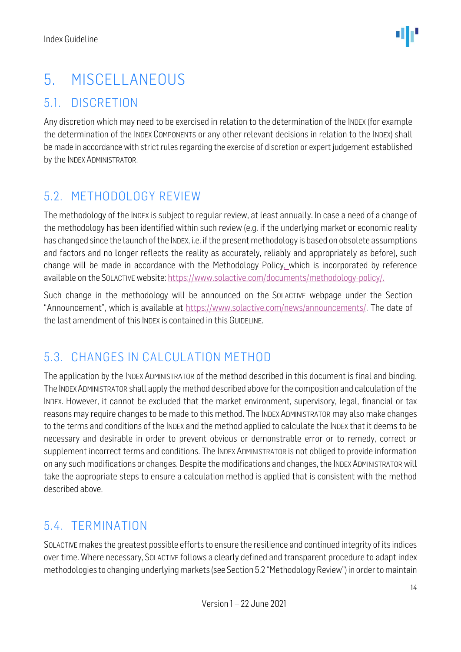### <span id="page-13-0"></span>5. MISCELLANEOUS

#### <span id="page-13-1"></span>5.1. DISCRETION

Any discretion which may need to be exercised in relation to the determination of the INDEX (for example the determination of the INDEX COMPONENTS or any other relevant decisions in relation to the INDEX) shall be made in accordance with strict rules regarding the exercise of discretion or expert judgement established by the INDEX ADMINISTRATOR.

### <span id="page-13-2"></span>5.2. METHODOLOGY REVIEW

The methodology of the INDEX is subject to regular review, at least annually. In case a need of a change of the methodology has been identified within such review (e.g. if the underlying market or economic reality has changed since the launch of the INDEX, i.e. if the present methodology is based on obsolete assumptions and factors and no longer reflects the reality as accurately, reliably and appropriately as before), such change will be made in accordance with the Methodology Policy. which is incorporated by reference available on the SOLACTIVE website: [https://www.solactive.com/documents/methodology-policy/.](https://www.solactive.com/documents/methodology-policy/)

Such change in the methodology will be announced on the SOLACTIVE webpage under the Section "Announcement", which is available at https://www.solactive.com/news/announcements/. The date of the last amendment of this INDEX is contained in this GUIDELINE.

### <span id="page-13-3"></span>5.3. CHANGES IN CALCULATION METHOD

The application by the INDEX ADMINISTRATOR of the method described in this document is final and binding. The INDEXADMINISTRATOR shall apply the method described above for the composition and calculation of the INDEX. However, it cannot be excluded that the market environment, supervisory, legal, financial or tax reasons may require changes to be made to this method. The INDEX ADMINISTRATOR may also make changes to the terms and conditions of the INDEX and the method applied to calculate the INDEX that it deems to be necessary and desirable in order to prevent obvious or demonstrable error or to remedy, correct or supplement incorrect terms and conditions. The INDEX ADMINISTRATOR is not obliged to provide information on any such modifications or changes. Despite the modifications and changes, the INDEX ADMINISTRATOR will take the appropriate steps to ensure a calculation method is applied that is consistent with the method described above.

### <span id="page-13-4"></span>5.4. TERMINATION

SOLACTIVE makes the greatest possible efforts to ensure the resilience and continued integrity of its indices over time. Where necessary, SOLACTIVE follows a clearly defined and transparent procedure to adapt index methodologies to changing underlying markets (see Section 5.2 "Methodology Review") in order to maintain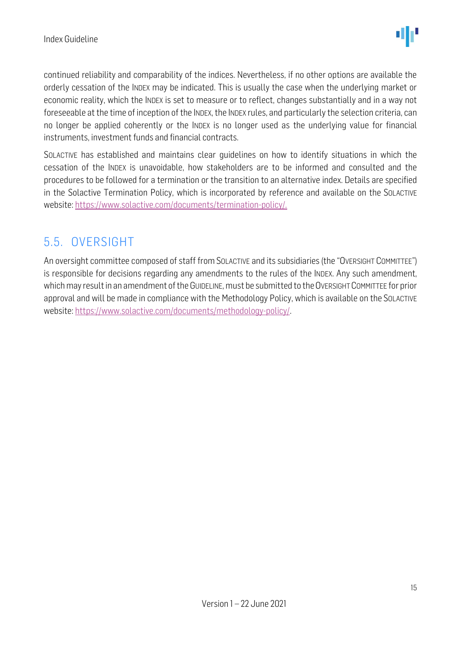continued reliability and comparability of the indices. Nevertheless, if no other options are available the orderly cessation of the INDEX may be indicated. This is usually the case when the underlying market or economic reality, which the INDEX is set to measure or to reflect, changes substantially and in a way not foreseeable at the time of inception of the INDEX, the INDEX rules, and particularly the selection criteria, can no longer be applied coherently or the INDEX is no longer used as the underlying value for financial instruments, investment funds and financial contracts.

SOLACTIVE has established and maintains clear guidelines on how to identify situations in which the cessation of the INDEX is unavoidable, how stakeholders are to be informed and consulted and the procedures to be followed for a termination or the transition to an alternative index. Details are specified in the Solactive Termination Policy, which is incorporated by reference and available on the SOLACTIVE website: [https://www.solactive.com/documents/termination-policy/.](https://www.solactive.com/documents/termination-policy/)

### <span id="page-14-0"></span>5.5. OVERSIGHT

An oversight committee composed of staff from SOLACTIVE and its subsidiaries (the "OVERSIGHT COMMITTEE") is responsible for decisions regarding any amendments to the rules of the INDEX. Any such amendment, which may result in an amendment of the GUIDELINE, must be submitted to the OVERSIGHT COMMITTEE for prior approval and will be made in compliance with th[e Methodology](http://methodology/) Policy, which is available on the SOLACTIVE website: [https://www.solactive.com/documents/methodology-policy/.](https://www.solactive.com/documents/methodology-policy/)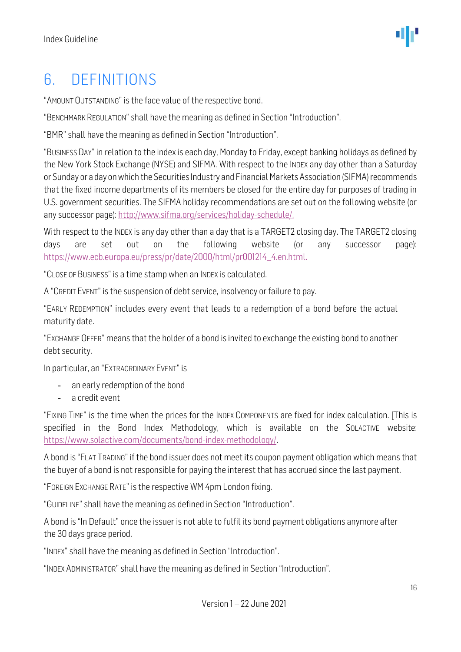### <span id="page-15-0"></span>6. DEFINITIONS

"AMOUNT OUTSTANDING" is the face value of the respective bond.

"BENCHMARK REGULATION" shall have the meaning as defined in Section "Introduction".

"BMR" shall have the meaning as defined in Section "Introduction".

"BUSINESS DAY" in relation to the index is each day, Monday to Friday, except banking holidays as defined by the New York Stock Exchange (NYSE) and SIFMA. With respect to the INDEX any day other than a Saturday or Sunday or a day on which the Securities Industry and Financial Markets Association (SIFMA) recommends that the fixed income departments of its members be closed for the entire day for purposes of trading in U.S. government securities. The SIFMA holiday recommendations are set out on the following website (or any successor page): [http://www.sifma.org/services/holiday-schedule/.](http://www.sifma.org/services/holiday-schedule/)

With respect to the INDEX is any day other than a day that is a TARGET2 closing day. The TARGET2 closing days are set out on the following website (or any successor page): [https://www.ecb.europa.eu/press/pr/date/2000/html/pr001214\\_4.en.html.](https://www.ecb.europa.eu/press/pr/date/2000/html/pr001214_4.en.html)

"CLOSE OF BUSINESS" is a time stamp when an INDEX is calculated.

A "CREDIT EVENT" is the suspension of debt service, insolvency or failure to pay.

"EARLY REDEMPTION" includes every event that leads to a redemption of a bond before the actual maturity date.

"EXCHANGE OFFER" means that the holder of a bond is invited to exchange the existing bond to another debt security.

In particular, an "EXTRAORDINARY EVENT" is

- an early redemption of the bond
- a credit event

"FIXING TIME" is the time when the prices for the INDEX COMPONENTS are fixed for index calculation. [This is specified in the Bond Index Methodology, which is available on the SOLACTIVE website: [https://www.solactive.com/documents/bond-index-methodology/.](https://www.solactive.com/documents/bond-index-methodology/)

A bond is "FLAT TRADING" if the bond issuer does not meet its coupon payment obligation which means that the buyer of a bond is not responsible for paying the interest that has accrued since the last payment.

"FOREIGN EXCHANGE RATE" is the respective WM 4pm London fixing.

"GUIDELINE" shall have the meaning as defined in Section "Introduction".

A bond is "In Default" once the issuer is not able to fulfil its bond payment obligations anymore after the 30 days grace period.

"INDEX" shall have the meaning as defined in Section "Introduction".

"INDEX ADMINISTRATOR" shall have the meaning as defined in Section "Introduction".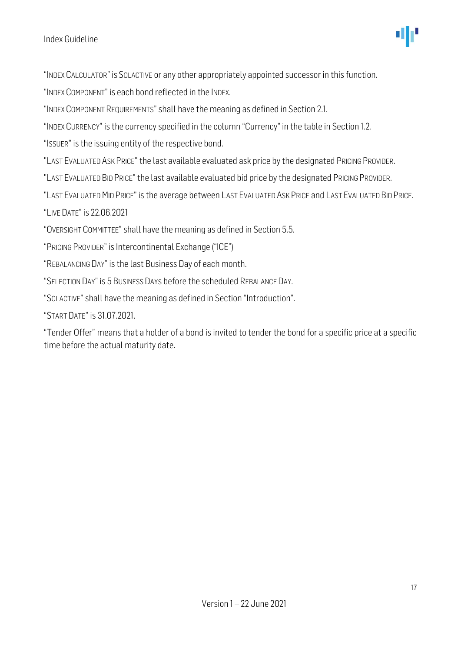"INDEX CALCULATOR" is SOLACTIVE or any other appropriately appointed successor in this function.

"INDEX COMPONENT" is each bond reflected in the INDEX.

"INDEX COMPONENT REQUIREMENTS" shall have the meaning as defined in Section 2.1.

"INDEX CURRENCY" is the currency specified in the column "Currency" in the table in Section 1.2.

"ISSUER" is the issuing entity of the respective bond.

"LAST EVALUATED ASK PRICE" the last available evaluated ask price by the designated PRICING PROVIDER.

"LAST EVALUATED BID PRICE" the last available evaluated bid price by the designated PRICING PROVIDER.

"LAST EVALUATED MID PRICE" is the average between LAST EVALUATED ASK PRICE and LAST EVALUATED BID PRICE.

"LIVE DATE" is 22.06.2021

"OVERSIGHT COMMITTEE" shall have the meaning as defined in Section 5.5.

"PRICING PROVIDER" is Intercontinental Exchange ("ICE")

"REBALANCING DAY" is the last Business Day of each month.

"SELECTION DAY" is 5 BUSINESSDAYs before the scheduled REBALANCE DAY.

"SOLACTIVE" shall have the meaning as defined in Section "Introduction".

"START DATE" is 31.07.2021.

"Tender Offer" means that a holder of a bond is invited to tender the bond for a specific price at a specific time before the actual maturity date.